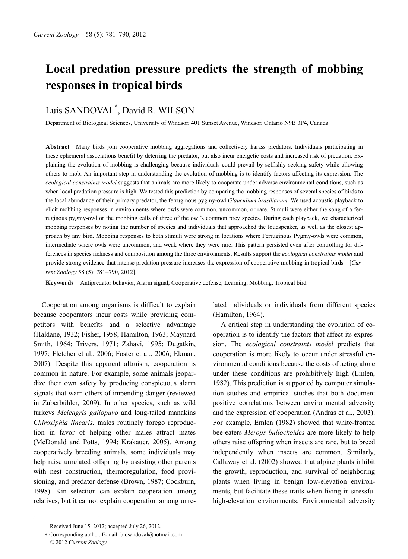# **Local predation pressure predicts the strength of mobbing responses in tropical birds**

## Luis SANDOVAL\* , David R. WILSON

Department of Biological Sciences, University of Windsor, 401 Sunset Avenue, Windsor, Ontario N9B 3P4, Canada

**Abstract** Many birds join cooperative mobbing aggregations and collectively harass predators. Individuals participating in these ephemeral associations benefit by deterring the predator, but also incur energetic costs and increased risk of predation. Explaining the evolution of mobbing is challenging because individuals could prevail by selfishly seeking safety while allowing others to mob. An important step in understanding the evolution of mobbing is to identify factors affecting its expression. The *ecological constraints model* suggests that animals are more likely to cooperate under adverse environmental conditions, such as when local predation pressure is high. We tested this prediction by comparing the mobbing responses of several species of birds to the local abundance of their primary predator, the ferruginous pygmy-owl *Glaucidium brasilianum*. We used acoustic playback to elicit mobbing responses in environments where owls were common, uncommon, or rare. Stimuli were either the song of a ferruginous pygmy-owl or the mobbing calls of three of the owl's common prey species. During each playback, we characterized mobbing responses by noting the number of species and individuals that approached the loudspeaker, as well as the closest approach by any bird. Mobbing responses to both stimuli were strong in locations where Ferruginous Pygmy-owls were common, intermediate where owls were uncommon, and weak where they were rare. This pattern persisted even after controlling for differences in species richness and composition among the three environments. Results support the *ecological constraints model* and provide strong evidence that intense predation pressure increases the expression of cooperative mobbing in tropical birds [*Current Zoology* 58 (5): 781−790, 2012].

**Keywords** Antipredator behavior, Alarm signal, Cooperative defense, Learning, Mobbing, Tropical bird

Cooperation among organisms is difficult to explain because cooperators incur costs while providing competitors with benefits and a selective advantage (Haldane, 1932; Fisher, 1958; Hamilton, 1963; Maynard Smith, 1964; Trivers, 1971; Zahavi, 1995; Dugatkin, 1997; Fletcher et al., 2006; Foster et al., 2006; Ekman, 2007). Despite this apparent altruism, cooperation is common in nature. For example, some animals jeopardize their own safety by producing conspicuous alarm signals that warn others of impending danger (reviewed in Zuberbühler, 2009). In other species, such as wild turkeys *Meleagris gallopavo* and long-tailed manakins *Chiroxiphia linearis*, males routinely forego reproduction in favor of helping other males attract mates (McDonald and Potts, 1994; Krakauer, 2005). Among cooperatively breeding animals, some individuals may help raise unrelated offspring by assisting other parents with nest construction, thermoregulation, food provisioning, and predator defense (Brown, 1987; Cockburn, 1998). Kin selection can explain cooperation among relatives, but it cannot explain cooperation among unrelated individuals or individuals from different species (Hamilton, 1964).

A critical step in understanding the evolution of cooperation is to identify the factors that affect its expression. The *ecological constraints model* predicts that cooperation is more likely to occur under stressful environmental conditions because the costs of acting alone under these conditions are prohibitively high (Emlen, 1982). This prediction is supported by computer simulation studies and empirical studies that both document positive correlations between environmental adversity and the expression of cooperation (Andras et al., 2003). For example, Emlen (1982) showed that white-fronted bee-eaters *Merops bullockoides* are more likely to help others raise offspring when insects are rare, but to breed independently when insects are common. Similarly, Callaway et al. (2002) showed that alpine plants inhibit the growth, reproduction, and survival of neighboring plants when living in benign low-elevation environments, but facilitate these traits when living in stressful high-elevation environments. Environmental adversity

 $\overline{a}$ 

Received June 15, 2012; accepted July 26, 2012.

<sup>∗</sup> Corresponding author. E-mail: biosandoval@hotmail.com

<sup>© 2012</sup> *Current Zoology*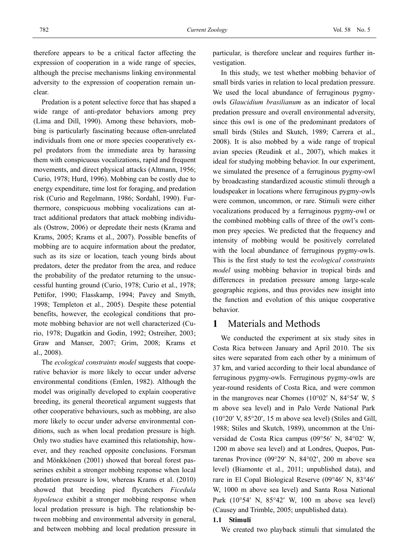therefore appears to be a critical factor affecting the expression of cooperation in a wide range of species, although the precise mechanisms linking environmental adversity to the expression of cooperation remain unclear.

Predation is a potent selective force that has shaped a wide range of anti-predator behaviors among prey (Lima and Dill, 1990). Among these behaviors, mobbing is particularly fascinating because often-unrelated individuals from one or more species cooperatively expel predators from the immediate area by harassing them with conspicuous vocalizations, rapid and frequent movements, and direct physical attacks (Altmann, 1956; Curio, 1978; Hurd, 1996). Mobbing can be costly due to energy expenditure, time lost for foraging, and predation risk (Curio and Regelmann, 1986; Sordahl, 1990). Furthermore, conspicuous mobbing vocalizations can attract additional predators that attack mobbing individuals (Ostrow, 2006) or depredate their nests (Krama and Krams, 2005; Krams et al., 2007). Possible benefits of mobbing are to acquire information about the predator, such as its size or location, teach young birds about predators, deter the predator from the area, and reduce the probability of the predator returning to the unsuccessful hunting ground (Curio, 1978; Curio et al., 1978; Pettifor, 1990; Flasskamp, 1994; Pavey and Smyth, 1998; Templeton et al., 2005). Despite these potential benefits, however, the ecological conditions that promote mobbing behavior are not well characterized (Curio, 1978; Dugatkin and Godin, 1992; Ostreiher, 2003; Graw and Manser, 2007; Grim, 2008; Krams et al., 2008).

The *ecological constraints model* suggests that cooperative behavior is more likely to occur under adverse environmental conditions (Emlen, 1982). Although the model was originally developed to explain cooperative breeding, its general theoretical argument suggests that other cooperative behaviours, such as mobbing, are also more likely to occur under adverse environmental conditions, such as when local predation pressure is high. Only two studies have examined this relationship, however, and they reached opposite conclusions. Forsman and Mönkkönen (2001) showed that boreal forest passerines exhibit a stronger mobbing response when local predation pressure is low, whereas Krams et al. (2010) showed that breeding pied flycatchers *Ficedula hypoleuca* exhibit a stronger mobbing response when local predation pressure is high. The relationship between mobbing and environmental adversity in general, and between mobbing and local predation pressure in

particular, is therefore unclear and requires further investigation.

In this study, we test whether mobbing behavior of small birds varies in relation to local predation pressure. We used the local abundance of ferruginous pygmyowls *Glaucidium brasilianum* as an indicator of local predation pressure and overall environmental adversity, since this owl is one of the predominant predators of small birds (Stiles and Skutch, 1989; Carrera et al., 2008). It is also mobbed by a wide range of tropical avian species (Reudink et al., 2007), which makes it ideal for studying mobbing behavior. In our experiment, we simulated the presence of a ferruginous pygmy-owl by broadcasting standardized acoustic stimuli through a loudspeaker in locations where ferruginous pygmy-owls were common, uncommon, or rare. Stimuli were either vocalizations produced by a ferruginous pygmy-owl or the combined mobbing calls of three of the owl's common prey species. We predicted that the frequency and intensity of mobbing would be positively correlated with the local abundance of ferruginous pygmy-owls. This is the first study to test the *ecological constraints model* using mobbing behavior in tropical birds and differences in predation pressure among large-scale geographic regions, and thus provides new insight into the function and evolution of this unique cooperative behavior.

### **1** Materials and Methods

We conducted the experiment at six study sites in Costa Rica between January and April 2010. The six sites were separated from each other by a minimum of 37 km, and varied according to their local abundance of ferruginous pygmy-owls. Ferruginous pygmy-owls are year-round residents of Costa Rica, and were common in the mangroves near Chomes (10°02′ N, 84°54′ W, 5 m above sea level) and in Palo Verde National Park (10°20′ V, 85°20′, 15 m above sea level) (Stiles and Gill, 1988; Stiles and Skutch, 1989), uncommon at the Universidad de Costa Rica campus (09°56′ N, 84°02′ W, 1200 m above sea level) and at Londres, Quepos, Puntarenas Province (09°29′ N, 84°02′, 200 m above sea level) (Biamonte et al., 2011; unpublished data), and rare in El Copal Biological Reserve (09°46′ N, 83°46′ W, 1000 m above sea level) and Santa Rosa National Park (10°54′ N, 85°42′ W, 100 m above sea level) (Causey and Trimble, 2005; unpublished data).

### **1.1 Stimuli**

We created two playback stimuli that simulated the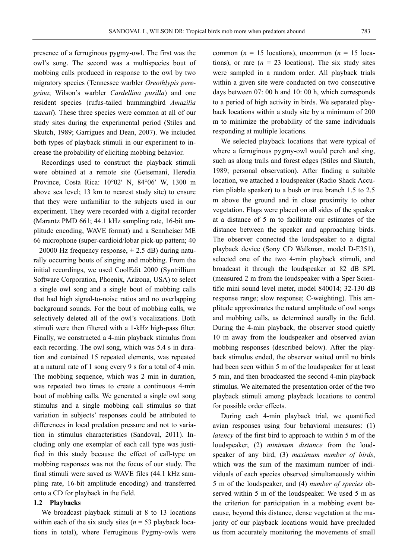presence of a ferruginous pygmy-owl. The first was the owl's song. The second was a multispecies bout of mobbing calls produced in response to the owl by two migratory species (Tennessee warbler *Oreothlypis peregrina*; Wilson's warbler *Cardellina pusilla*) and one resident species (rufus-tailed hummingbird *Amazilia tzacatl*). These three species were common at all of our study sites during the experimental period (Stiles and Skutch, 1989; Garrigues and Dean, 2007). We included both types of playback stimuli in our experiment to increase the probability of eliciting mobbing behavior.

Recordings used to construct the playback stimuli were obtained at a remote site (Getsemaní, Heredia Province, Costa Rica: 10°02′ N, 84°06′ W, 1300 m above sea level; 13 km to nearest study site) to ensure that they were unfamiliar to the subjects used in our experiment. They were recorded with a digital recorder (Marantz PMD 661; 44.1 kHz sampling rate, 16-bit amplitude encoding, WAVE format) and a Sennheiser ME 66 microphone (super-cardioid/lobar pick-up pattern; 40  $-$  20000 Hz frequency response,  $\pm$  2.5 dB) during naturally occurring bouts of singing and mobbing. From the initial recordings, we used CoolEdit 2000 (Syntrillium Software Corporation, Phoenix, Arizona, USA) to select a single owl song and a single bout of mobbing calls that had high signal-to-noise ratios and no overlapping background sounds. For the bout of mobbing calls, we selectively deleted all of the owl's vocalizations. Both stimuli were then filtered with a 1-kHz high-pass filter. Finally, we constructed a 4-min playback stimulus from each recording. The owl song, which was 5.4 s in duration and contained 15 repeated elements, was repeated at a natural rate of 1 song every 9 s for a total of 4 min. The mobbing sequence, which was 2 min in duration, was repeated two times to create a continuous 4-min bout of mobbing calls. We generated a single owl song stimulus and a single mobbing call stimulus so that variation in subjects' responses could be attributed to differences in local predation pressure and not to variation in stimulus characteristics (Sandoval, 2011). Including only one exemplar of each call type was justified in this study because the effect of call-type on mobbing responses was not the focus of our study. The final stimuli were saved as WAVE files (44.1 kHz sampling rate, 16-bit amplitude encoding) and transferred onto a CD for playback in the field.

#### **1.2 Playbacks**

We broadcast playback stimuli at 8 to 13 locations within each of the six study sites ( $n = 53$  playback locations in total), where Ferruginous Pygmy-owls were

common ( $n = 15$  locations), uncommon ( $n = 15$  locations), or rare  $(n = 23$  locations). The six study sites were sampled in a random order. All playback trials within a given site were conducted on two consecutive days between 07: 00 h and 10: 00 h, which corresponds to a period of high activity in birds. We separated playback locations within a study site by a minimum of 200 m to minimize the probability of the same individuals responding at multiple locations.

We selected playback locations that were typical of where a ferruginous pygmy-owl would perch and sing, such as along trails and forest edges (Stiles and Skutch, 1989; personal observation). After finding a suitable location, we attached a loudspeaker (Radio Shack Accurian pliable speaker) to a bush or tree branch 1.5 to 2.5 m above the ground and in close proximity to other vegetation. Flags were placed on all sides of the speaker at a distance of 5 m to facilitate our estimates of the distance between the speaker and approaching birds. The observer connected the loudspeaker to a digital playback device (Sony CD Walkman, model D-E351), selected one of the two 4-min playback stimuli, and broadcast it through the loudspeaker at 82 dB SPL (measured 2 m from the loudspeaker with a Sper Scientific mini sound level meter, model 840014; 32-130 dB response range; slow response; C-weighting). This amplitude approximates the natural amplitude of owl songs and mobbing calls, as determined aurally in the field. During the 4-min playback, the observer stood quietly 10 m away from the loudspeaker and observed avian mobbing responses (described below). After the playback stimulus ended, the observer waited until no birds had been seen within 5 m of the loudspeaker for at least 5 min, and then broadcasted the second 4-min playback stimulus. We alternated the presentation order of the two playback stimuli among playback locations to control for possible order effects.

During each 4-min playback trial, we quantified avian responses using four behavioral measures: (1) *latency* of the first bird to approach to within 5 m of the loudspeaker, (2) *minimum distance* from the loudspeaker of any bird, (3) *maximum number of birds*, which was the sum of the maximum number of individuals of each species observed simultaneously within 5 m of the loudspeaker, and (4) *number of species* observed within 5 m of the loudspeaker. We used 5 m as the criterion for participation in a mobbing event because, beyond this distance, dense vegetation at the majority of our playback locations would have precluded us from accurately monitoring the movements of small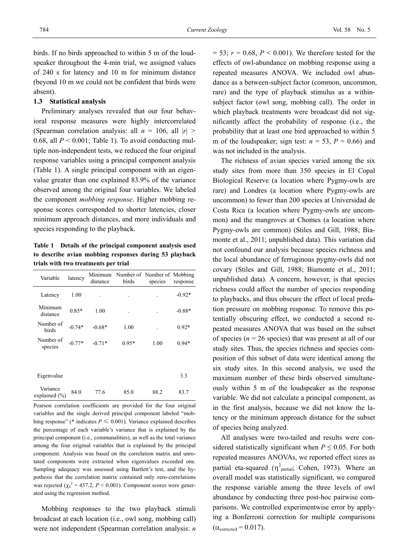birds. If no birds approached to within 5 m of the loudspeaker throughout the 4-min trial, we assigned values of 240 s for latency and 10 m for minimum distance (beyond 10 m we could not be confident that birds were absent).

### **1.3 Statistical analysis**

Preliminary analyses revealed that our four behavioral response measures were highly intercorrelated (Spearman correlation analysis: all  $n = 106$ , all  $|r| >$ 0.68, all  $P < 0.001$ ; Table 1). To avoid conducting multiple non-independent tests, we reduced the four original response variables using a principal component analysis (Table 1). A single principal component with an eigenvalue greater than one explained 83.9% of the variance observed among the original four variables. We labeled the component *mobbing response*. Higher mobbing response scores corresponded to shorter latencies, closer minimum approach distances, and more individuals and species responding to the playback.

**Table 1 Details of the principal component analysis used to describe avian mobbing responses during 53 playback trials with two treatments per trial** 

| Variable                      | latency  | Minimum<br>distance | Number of Number of Mobbing<br>birds | species | response |
|-------------------------------|----------|---------------------|--------------------------------------|---------|----------|
| Latency                       | 1.00     |                     |                                      |         | $-0.92*$ |
| Minimum<br>distance           | $0.85*$  | 1.00                |                                      |         | $-0.88*$ |
| Number of<br>birds            | $-0.74*$ | $-0.68*$            | 1.00                                 |         | $0.92*$  |
| Number of<br>species          | $-0.77*$ | $-0.71*$            | $0.95*$                              | 1.00    | $0.94*$  |
|                               |          |                     |                                      |         |          |
| Eigenvalue                    |          |                     |                                      |         | 3.3      |
| Variance<br>explained $(\% )$ | 84.0     | 77.6                | 85.0                                 | 88.2    | 83.7     |

Pearson correlation coefficients are provided for the four original variables and the single derived principal component labeled "mobbing response" (\* indicates  $P \le 0.001$ ). Variance explained describes the percentage of each variable's variance that is explained by the principal component (i.e., communalities), as well as the total variance among the four original variables that is explained by the principal component. Analysis was based on the correlation matrix and unrotated components were extracted when eigenvalues exceeded one. Sampling adequacy was assessed using Bartlett's test, and the hypothesis that the correlation matrix contained only zero-correlations was rejected  $(\chi_6^2 = 457.2, P \le 0.001)$ . Component scores were generated using the regression method.

Mobbing responses to the two playback stimuli broadcast at each location (i.e., owl song, mobbing call) were not independent (Spearman correlation analysis: *n*

 $= 53$ ;  $r = 0.68$ ,  $P < 0.001$ ). We therefore tested for the effects of owl-abundance on mobbing response using a repeated measures ANOVA. We included owl abundance as a between-subject factor (common, uncommon, rare) and the type of playback stimulus as a withinsubject factor (owl song, mobbing call). The order in which playback treatments were broadcast did not significantly affect the probability of response (i.e., the probability that at least one bird approached to within 5 m of the loudspeaker; sign test:  $n = 53$ ,  $P = 0.66$ ) and was not included in the analysis.

The richness of avian species varied among the six study sites from more than 350 species in El Copal Biological Reserve (a location where Pygmy-owls are rare) and Londres (a location where Pygmy-owls are uncommon) to fewer than 200 species at Universidad de Costa Rica (a location where Pygmy-owls are uncommon) and the mangroves at Chomes (a location where Pygmy-owls are common) (Stiles and Gill, 1988; Biamonte et al., 2011; unpublished data). This variation did not confound our analysis because species richness and the local abundance of ferruginous pygmy-owls did not covary (Stiles and Gill, 1988; Biamonte et al., 2011; unpublished data). A concern, however, is that species richness could affect the number of species responding to playbacks, and thus obscure the effect of local predation pressure on mobbing response. To remove this potentially obscuring effect, we conducted a second repeated measures ANOVA that was based on the subset of species ( $n = 26$  species) that was present at all of our study sites. Thus, the species richness and species composition of this subset of data were identical among the six study sites. In this second analysis, we used the maximum number of these birds observed simultaneously within 5 m of the loudspeaker as the response variable. We did not calculate a principal component, as in the first analysis, because we did not know the latency or the minimum approach distance for the subset of species being analyzed.

All analyses were two-tailed and results were considered statistically significant when  $P \leq 0.05$ . For both repeated measures ANOVAs, we reported effect sizes as partial eta-squared  $(\eta^2_{\text{partial}}; \text{ Cohen}, 1973)$ . Where an overall model was statistically significant, we compared the response variable among the three levels of owl abundance by conducting three post-hoc pairwise comparisons. We controlled experimentwise error by applying a Bonferroni correction for multiple comparisons  $(\alpha_{\text{corrected}} = 0.017)$ .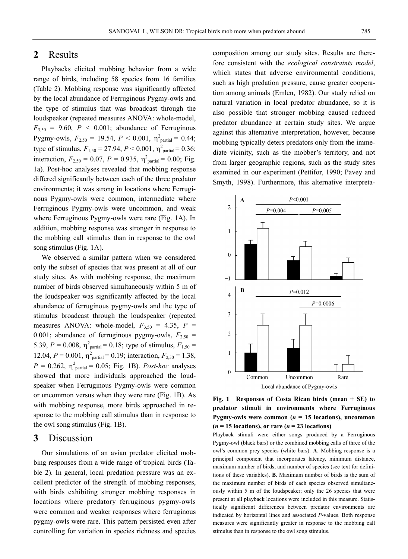### **2** Results

Playbacks elicited mobbing behavior from a wide range of birds, including 58 species from 16 families (Table 2). Mobbing response was significantly affected by the local abundance of Ferruginous Pygmy-owls and the type of stimulus that was broadcast through the loudspeaker (repeated measures ANOVA: whole-model,  $F_{3,50}$  = 9.60,  $P \le 0.001$ ; abundance of Ferruginous Pygmy-owls,  $F_{2,50} = 19.54$ ,  $P < 0.001$ ,  $\eta_{\text{partial}}^2 = 0.44$ ; type of stimulus,  $F_{1,50} = 27.94$ ,  $P < 0.001$ ,  $\eta^2$ <sub>partial</sub> = 0.36; interaction,  $F_{2,50} = 0.07$ ,  $P = 0.935$ ,  $\eta_{\text{partial}}^2 = 0.00$ ; Fig. 1a). Post-hoc analyses revealed that mobbing response differed significantly between each of the three predator environments; it was strong in locations where Ferruginous Pygmy-owls were common, intermediate where Ferruginous Pygmy-owls were uncommon, and weak where Ferruginous Pygmy-owls were rare (Fig. 1A). In addition, mobbing response was stronger in response to the mobbing call stimulus than in response to the owl song stimulus (Fig. 1A).

We observed a similar pattern when we considered only the subset of species that was present at all of our study sites. As with mobbing response, the maximum number of birds observed simultaneously within 5 m of the loudspeaker was significantly affected by the local abundance of ferruginous pygmy-owls and the type of stimulus broadcast through the loudspeaker (repeated measures ANOVA: whole-model,  $F_{3,50} = 4.35$ ,  $P =$ 0.001; abundance of ferruginous pygmy-owls,  $F_{2,50}$  = 5.39,  $P = 0.008$ ,  $\eta^2$ <sub>partial</sub> = 0.18; type of stimulus,  $F_{1,50}$  = 12.04,  $P = 0.001$ ,  $\eta^2$ <sub>partial</sub> = 0.19; interaction,  $F_{2,50} = 1.38$ ,  $P = 0.262$ ,  $\eta^2$ <sub>partial</sub> = 0.05; Fig. 1B). *Post-hoc* analyses showed that more individuals approached the loudspeaker when Ferruginous Pygmy-owls were common or uncommon versus when they were rare (Fig. 1B). As with mobbing response, more birds approached in response to the mobbing call stimulus than in response to the owl song stimulus (Fig. 1B).

### **3** Discussion

Our simulations of an avian predator elicited mobbing responses from a wide range of tropical birds (Table 2). In general, local predation pressure was an excellent predictor of the strength of mobbing responses, with birds exhibiting stronger mobbing responses in locations where predatory ferruginous pygmy-owls were common and weaker responses where ferruginous pygmy-owls were rare. This pattern persisted even after controlling for variation in species richness and species

composition among our study sites. Results are therefore consistent with the *ecological constraints model*, which states that adverse environmental conditions, such as high predation pressure, cause greater cooperation among animals (Emlen, 1982). Our study relied on natural variation in local predator abundance, so it is also possible that stronger mobbing caused reduced predator abundance at certain study sites. We argue against this alternative interpretation, however, because mobbing typically deters predators only from the immediate vicinity, such as the mobber's territory, and not from larger geographic regions, such as the study sites examined in our experiment (Pettifor, 1990; Pavey and Smyth, 1998). Furthermore, this alternative interpreta-



**Fig. 1 Responses of Costa Rican birds (mean + SE) to predator stimuli in environments where Ferruginous**  Pygmy-owls were common  $(n = 15$  locations), uncommon  $(n = 15$  locations), or rare  $(n = 23$  locations)

Playback stimuli were either songs produced by a Ferruginous Pygmy-owl (black bars) or the combined mobbing calls of three of the owl's common prey species (white bars). **A**. Mobbing response is a principal component that incorporates latency, minimum distance, maximum number of birds, and number of species (see text for definitions of these variables). **B**. Maximum number of birds is the sum of the maximum number of birds of each species observed simultaneously within 5 m of the loudspeaker; only the 26 species that were present at all playback locations were included in this measure. Statistically significant differences between predator environments are indicated by horizontal lines and associated *P*-values. Both response measures were significantly greater in response to the mobbing call stimulus than in response to the owl song stimulus.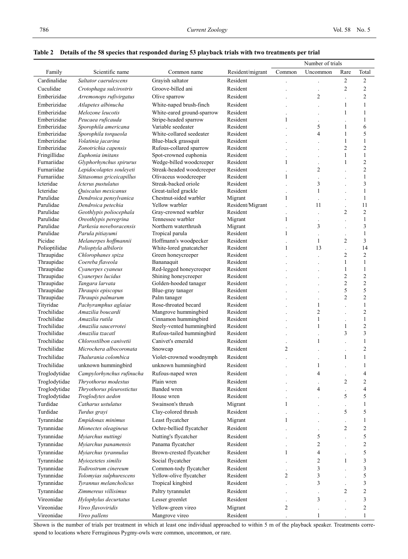#### Number of trials Family Scientific name Common name Resident/migrant Common Uncommon Rare Total Cardinalidae *Saltator caerulescens* Grayish saltator Resident . . 2 2 Cuculidae *Crotophaga sulcirostris* Groove-billed ani Resident . . 2 2 Emberizidae *Arremonops rufivirgatus* Olive sparrow Resident . 2 . 2 Emberizidae *Atlapetes albinucha* White-naped brush-finch Resident . . 1 1 Emberizidae *Melozone leucotis* White-eared ground-sparrow Resident . . 1 1 Emberizidae *Peucaea ruficauda* Stripe-headed sparrow Resident 1 . . 1 Emberizidae *Sporophila americana* Variable seedeater Resident . 5 1 6 Emberizidae *Sporophila torqueola* White-collared seedeater Resident . 4 1 5 Emberizidae *Volatinia jacarina* Blue-black grassquit Resident . . 1 1 Emberizidae *Zonotrichia capensis* Rufous-collared sparrow Resident . . 2 2 Fringillidae *Euphonia imitans* Spot-crowned euphonia Resident . . 1 1 Furnariidae *Glyphorhynchus spirurus* Wedge-billed woodcreeper Resident 1 . 1 2 Furnariidae *Lepidocolaptes souleyeti* Streak-headed woodcreeper Resident . 2 . 2 Furnariidae *Sittasomus griceicapillus* Olivaceus woodcreeper Resident 1 . . 1 Icteridae *Icterus pustulatus* Streak-backed oriole Resident . 3 . 3 Icteridae *Quiscalus mexicanus* Great-tailed grackle Resident . 1 . 1 Parulidae *Dendroica pensylvanica* Chestnut-sided warbler Migrant 1 . . 1 Parulidae *Dendroica petechia* Yellow warbler Resident/Migrant . 11 . 11 Parulidae *Geothlypis poliocephala* Gray-crowned warbler Resident . . 2 2 Parulidae *Oreothlypis peregrina* Tennessee warbler Migrant 1 . . 1 Parulidae *Parkesia noveboracensis* Northern waterthrush Migrant . 3 . 3 Parulidae *Parula pitiayumi* Tropical parula Resident 1 . . 1 Picidae *Melanerpes hoffmannii* Hoffmann's woodpecker Resident . 1 2 3 Polioptilidae *Polioptyla albiloris* White-lored gnatcatcher Resident 1 13 . 14 Thraupidae *Chlorophanes spiza* Green honeycreeper Resident . . 2 2 Thraupidae *Coereba flaveola* **Bananaquit Resident** . . 1 1 Thraupidae *Cyanerpes cyaneus* Red-legged honeycreeper Resident . . 1 1 Thraupidae *Cyanerpes lucidus* Shining honeycreeper Resident . . 2 2 Thraupidae *Tangara larvata* Golden-hooded tanager Resident . . 2 2 Thraupidae *Thraupis episcopus* Blue-gray tanager Resident . . 5 5 Thraupidae *Thraupis palmarum* Palm tanager Resident . . 2 2 Tityridae *Pachyramphus aglaiae* Rose-throated becard Resident . 1 . 1 Trochilidae *Amazilia boucardi* Mangrove hummingbird Resident . 2 . 2 Trochilidae *Amazilia rutila* Cinnamon hummingbird Resident . 1 . 1 Trochilidae *Amazilia saucerrotei* Steely-vented hummingbird Resident . 1 1 2 Trochilidae *Amazilia tzacatl* **Rufous-tailed hummingbird** Resident . . . 3 3 3 Trochilidae *Chlorostilbon canivetii* Canivet's emerald Resident . 1 . 1 Trochilidae *Microchera albocoronata* Snowcap Resident 2 . . 2 Trochilidae *Thalurania colombica* Violet-crowned woodnymph Resident . . 1 1 Trochilidae unknown hummingbird unknown hummingbird Resident . 1 . 1 Troglodytidae *Campylorhynchus rufinucha* Rufous-naped wren Resident . 4 . 4 Troglodytidae *Thryothorus modestus* Plain wren Resident . . 2 2 Troglodytidae *Thryothorus pleurostictus* Banded wren Resident . 4 . 4 . 4 . 4 Troglodytidae *Troglodytes aedon* House wren Resident . . 5 5 Turdidae *Catharus ustulatus* Swainson's thrush Migrant 1 . . 1 Turdidae *Turdus grayi* Clay-colored thrush Resident . . . 5 5 Tyrannidae *Empidonax minimus* Least flycatcher Migrant 1 . . 1 Tyrannidae *Mionectes oleagineus* Ochre-bellied flycatcher Resident . . 2 2 Tyrannidae *Myiarchus nuttingi* Nutting's flycatcher Resident . 5 . 5 Tyrannidae *Myiarchus panamensis* Panama flycatcher Resident . 2 . 2 Tyrannidae *Myiarchus tyrannulus* Brown-crested flycatcher Resident 1 4 . 5 Tyrannidae *Myiozetetes similis* Social flycatcher Resident . 2 1 3 Tyrannidae *Todirostrum cinereum* Common-tody flycatcher Resident . 3 . 3 Tyrannidae *Tolomyias sulphurescens* Yellow-olive flycatcher Resident 2 3 . 5 Tyrannidae *Tyrannus melancholicus* Tropical kingbird Resident . 3 . 3 Tyrannidae *Zimmereus villisimus* Paltry tyrannulet Resident . . 2 2 Vireonidae *Hylophylus decurtatus* Lesser greenlet Resident . 3 . 3 Vireonidae *Vireo flavoviridis* Yellow-green vireo Migrant 2 . . 2 Vireonidae *Vireo pallens* Mangrove vireo Resident . 1 . 1

#### **Table 2 Details of the 58 species that responded during 53 playback trials with two treatments per trial**

Shown is the number of trials per treatment in which at least one individual approached to within 5 m of the playback speaker. Treatments correspond to locations where Ferruginous Pygmy-owls were common, uncommon, or rare.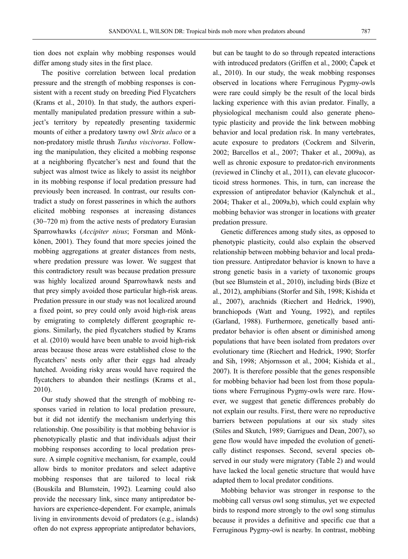tion does not explain why mobbing responses would differ among study sites in the first place.

The positive correlation between local predation pressure and the strength of mobbing responses is consistent with a recent study on breeding Pied Flycatchers (Krams et al., 2010). In that study, the authors experimentally manipulated predation pressure within a subject's territory by repeatedly presenting taxidermic mounts of either a predatory tawny owl *Strix aluco* or a non-predatory mistle thrush *Turdus viscivorus*. Following the manipulation, they elicited a mobbing response at a neighboring flycatcher's nest and found that the subject was almost twice as likely to assist its neighbor in its mobbing response if local predation pressure had previously been increased. In contrast, our results contradict a study on forest passerines in which the authors elicited mobbing responses at increasing distances (30−720 m) from the active nests of predatory Eurasian Sparrowhawks (*Accipiter nisus*; Forsman and Mönkkönen, 2001). They found that more species joined the mobbing aggregations at greater distances from nests, where predation pressure was lower. We suggest that this contradictory result was because predation pressure was highly localized around Sparrowhawk nests and that prey simply avoided those particular high-risk areas. Predation pressure in our study was not localized around a fixed point, so prey could only avoid high-risk areas by emigrating to completely different geographic regions. Similarly, the pied flycatchers studied by Krams et al. (2010) would have been unable to avoid high-risk areas because those areas were established close to the flycatchers' nests only after their eggs had already hatched. Avoiding risky areas would have required the flycatchers to abandon their nestlings (Krams et al., 2010).

Our study showed that the strength of mobbing responses varied in relation to local predation pressure, but it did not identify the mechanism underlying this relationship. One possibility is that mobbing behavior is phenotypically plastic and that individuals adjust their mobbing responses according to local predation pressure. A simple cognitive mechanism, for example, could allow birds to monitor predators and select adaptive mobbing responses that are tailored to local risk (Bouskila and Blumstein, 1992). Learning could also provide the necessary link, since many antipredator behaviors are experience-dependent. For example, animals living in environments devoid of predators (e.g., islands) often do not express appropriate antipredator behaviors,

but can be taught to do so through repeated interactions with introduced predators (Griffen et al., 2000; Čapek et al., 2010). In our study, the weak mobbing responses observed in locations where Ferruginous Pygmy-owls were rare could simply be the result of the local birds lacking experience with this avian predator. Finally, a physiological mechanism could also generate phenotypic plasticity and provide the link between mobbing behavior and local predation risk. In many vertebrates, acute exposure to predators (Cockrem and Silverin, 2002; Barcellos et al., 2007; Thaker et al., 2009a), as well as chronic exposure to predator-rich environments (reviewed in Clinchy et al., 2011), can elevate glucocorticoid stress hormones. This, in turn, can increase the expression of antipredator behavior (Kalynchuk et al., 2004; Thaker et al., 2009a,b), which could explain why mobbing behavior was stronger in locations with greater predation pressure.

Genetic differences among study sites, as opposed to phenotypic plasticity, could also explain the observed relationship between mobbing behavior and local predation pressure. Antipredator behavior is known to have a strong genetic basis in a variety of taxonomic groups (but see Blumstein et al., 2010), including birds (Bize et al., 2012), amphibians (Storfer and Sih, 1998; Kishida et al., 2007), arachnids (Riechert and Hedrick, 1990), branchiopods (Watt and Young, 1992), and reptiles (Garland, 1988). Furthermore, genetically based antipredator behavior is often absent or diminished among populations that have been isolated from predators over evolutionary time (Riechert and Hedrick, 1990; Storfer and Sih, 1998; Abjornsson et al., 2004; Kishida et al., 2007). It is therefore possible that the genes responsible for mobbing behavior had been lost from those populations where Ferruginous Pygmy-owls were rare. However, we suggest that genetic differences probably do not explain our results. First, there were no reproductive barriers between populations at our six study sites (Stiles and Skutch, 1989; Garrigues and Dean, 2007), so gene flow would have impeded the evolution of genetically distinct responses. Second, several species observed in our study were migratory (Table 2) and would have lacked the local genetic structure that would have adapted them to local predator conditions.

Mobbing behavior was stronger in response to the mobbing call versus owl song stimulus, yet we expected birds to respond more strongly to the owl song stimulus because it provides a definitive and specific cue that a Ferruginous Pygmy-owl is nearby. In contrast, mobbing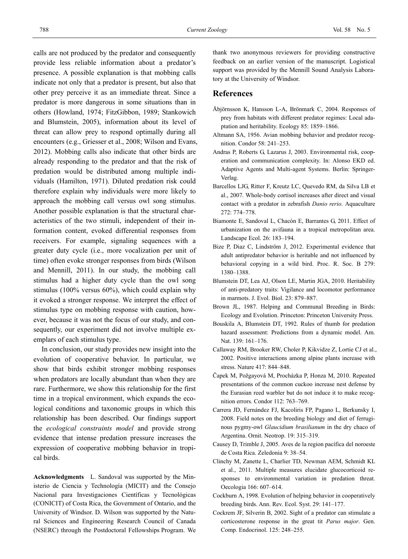calls are not produced by the predator and consequently provide less reliable information about a predator's presence. A possible explanation is that mobbing calls indicate not only that a predator is present, but also that other prey perceive it as an immediate threat. Since a predator is more dangerous in some situations than in others (Howland, 1974; FitzGibbon, 1989; Stankowich and Blumstein, 2005), information about its level of threat can allow prey to respond optimally during all encounters (e.g., Griesser et al., 2008; Wilson and Evans, 2012). Mobbing calls also indicate that other birds are already responding to the predator and that the risk of predation would be distributed among multiple individuals (Hamilton, 1971). Diluted predation risk could therefore explain why individuals were more likely to approach the mobbing call versus owl song stimulus. Another possible explanation is that the structural characteristics of the two stimuli, independent of their information content, evoked differential responses from receivers. For example, signaling sequences with a greater duty cycle (i.e., more vocalization per unit of time) often evoke stronger responses from birds (Wilson and Mennill, 2011). In our study, the mobbing call stimulus had a higher duty cycle than the owl song stimulus (100% versus 60%), which could explain why it evoked a stronger response. We interpret the effect of stimulus type on mobbing response with caution, however, because it was not the focus of our study, and consequently, our experiment did not involve multiple exemplars of each stimulus type.

In conclusion, our study provides new insight into the evolution of cooperative behavior. In particular, we show that birds exhibit stronger mobbing responses when predators are locally abundant than when they are rare. Furthermore, we show this relationship for the first time in a tropical environment, which expands the ecological conditions and taxonomic groups in which this relationship has been described. Our findings support the *ecological constraints model* and provide strong evidence that intense predation pressure increases the expression of cooperative mobbing behavior in tropical birds.

**Acknowledgments** L. Sandoval was supported by the Ministerio de Ciencia y Technología (MICIT) and the Consejo Nacional para Investigaciones Científicas y Tecnológicas (CONICIT) of Costa Rica, the Government of Ontario, and the University of Windsor. D. Wilson was supported by the Natural Sciences and Engineering Research Council of Canada (NSERC) through the Postdoctoral Fellowships Program. We

thank two anonymous reviewers for providing constructive feedback on an earlier version of the manuscript. Logistical support was provided by the Mennill Sound Analysis Laboratory at the University of Windsor.

### **References**

- Åbjörnsson K, Hansson L-A, Brönmark C, 2004. Responses of prey from habitats with different predator regimes: Local adaptation and heritability. Ecology 85: 1859–1866.
- Altmann SA, 1956. Avian mobbing behavior and predator recognition. Condor 58: 241–253.
- Andras P, Roberts G, Lazarus J, 2003. Environmental risk, cooperation and communication complexity. In: Alonso EKD ed. Adaptive Agents and Multi-agent Systems. Berlin: Springer-Verlag.
- Barcellos LJG, Ritter F, Kreutz LC, Quevedo RM, da Silva LB et al., 2007. Whole-body cortisol increases after direct and visual contact with a predator in zebrafish *Danio rerio*. Aquaculture 272: 774–778.
- Biamonte E, Sandoval L, Chacón E, Barrantes G, 2011. Effect of urbanization on the avifauna in a tropical metropolitan area. Landscape Ecol. 26: 183–194.
- Bize P, Diaz C, Lindström J, 2012. Experimental evidence that adult antipredator behavior is heritable and not influenced by behavioral copying in a wild bird. Proc. R. Soc. B 279: 1380–1388.
- Blumstein DT, Lea AJ, Olson LE, Martin JGA, 2010. Heritability of anti-predatory traits: Vigilance and locomotor performance in marmots. J. Evol. Biol. 23: 879–887.
- Brown JL, 1987. Helping and Communal Breeding in Birds: Ecology and Evolution. Princeton: Princeton University Press.
- Bouskila A, Blumstein DT, 1992. Rules of thumb for predation hazard assessment: Predictions from a dynamic model. Am. Nat. 139: 161–176.
- Callaway RM, Brooker RW, Choler P, Kikvidze Z, Lortie CJ et al., 2002. Positive interactions among alpine plants increase with stress. Nature 417: 844–848.
- Čapek M, Požgayová M, Procházka P, Honza M, 2010. Repeated presentations of the common cuckoo increase nest defense by the Eurasian reed warbler but do not induce it to make recognition errors. Condor 112: 763–769.
- Carrera JD, Fernández FJ, Kacoliris FP, Pagano L, Berkunsky I, 2008. Field notes on the breeding biology and diet of ferruginous pygmy-owl *Glaucidium brasilianum* in the dry chaco of Argentina. Ornit. Neotrop. 19: 315–319.
- Causey D, Trimble J, 2005. Aves de la region pacífica del noroeste de Costa Rica. Zeledonia 9: 38–54.
- Clinchy M, Zanette L, Charlier TD, Newman AEM, Schmidt KL et al., 2011. Multiple measures elucidate glucocorticoid responses to environmental variation in predation threat. Oecologia 166: 607–614.
- Cockburn A, 1998. Evolution of helping behavior in cooperatively breeding birds. Ann. Rev. Ecol. Syst. 29: 141–177.
- Cockrem JF, Silverin B, 2002. Sight of a predator can stimulate a corticosterone response in the great tit *Parus major*. Gen. Comp. Endocrinol. 125: 248–255.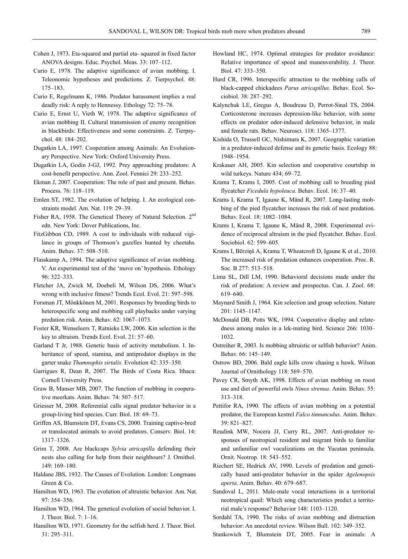- Cohen J, 1973. Eta-squared and partial eta- squared in fixed factor ANOVA designs. Educ. Psychol. Meas. 33: 107–112.
- Curio E, 1978. The adaptive significance of avian mobbing. I. Teleonomic hypotheses and predictions. Z. Tierpsychol. 48: 175–183.
- Curio E, Regelmann K, 1986. Predator harassment implies a real deadly risk: A reply to Hennessy. Ethology 72: 75–78.
- Curio E, Ernst U, Vieth W, 1978. The adaptive significance of avian mobbing II. Cultural transmission of enemy recognition in blackbirds: Effectiveness and some constraints. Z. Tierpsychol. 48: 184–202.
- Dugatkin LA, 1997. Cooperation among Animals: An Evolutionary Perspective. New York: Oxford University Press.
- Dugatkin LA, Godin J-GJ, 1992. Prey approaching predators: A cost-benefit perspective. Ann. Zool. Fennici 29: 233–252.
- Ekman J, 2007. Cooperation: The role of past and present. Behav. Process. 76: 118–119.
- Emlen ST, 1982. The evolution of helping. I. An ecological constraints model. Am. Nat. 119: 29–39.
- Fisher RA, 1958. The Genetical Theory of Natural Selection. 2nd edn. New York: Dover Publications, Inc.
- FitzGibbon CD, 1989. A cost to individuals with reduced vigilance in groups of Thomson's gazelles hunted by cheetahs. Anim. Behav. 37: 508–510.
- Flasskamp A, 1994. The adaptive significance of avian mobbing. V. An experimental test of the 'move on' hypothesis. Ethology 96: 322–333.
- Fletcher JA, Zwick M, Doebeli M, Wilson DS, 2006. What's wrong with inclusive fitness? Trends Ecol. Evol. 21: 597–598.
- Forsman JT, Mönkkönen M, 2001. Responses by breeding birds to heterospecific song and mobbing call playbacks under varying predation risk. Anim. Behav. 62: 1067–1073.
- Foster KR, Wenseleers T, Ratnieks LW, 2006. Kin selection is the key to altruism. Trends Ecol. Evol. 21: 57–60.
- Garland T Jr, 1988. Genetic basis of activity metabolism. I. Inheritance of speed, stamina, and antipredator displays in the garter snake *Thamnophis sirtalis*. Evolution 42: 335–350.
- Garrigues R, Dean R, 2007. The Birds of Costa Rica. Ithaca: Cornell University Press.
- Graw B, Manser MB, 2007. The function of mobbing in cooperative meerkats. Anim. Behav. 74: 507–517.
- Griesser M, 2008. Referential calls signal predator behavior in a group-living bird species. Curr. Biol. 18: 69–73.
- Griffen AS, Blumstein DT, Evans CS, 2000. Training captive-bred or translocated animals to avoid predators. Conserv. Biol. 14: 1317–1326.
- Grim T, 2008. Are blackcaps *Sylvia atricapilla* defending their nests also calling for help from their neighbours? J. Ornithol. 149: 169–180.
- Haldane JBS, 1932. The Causes of Evolution. London: Longmans Green & Co.
- Hamilton WD, 1963. The evolution of altruistic behavior. Am. Nat. 97: 354–356.
- Hamilton WD, 1964. The genetical evolution of social behavior. I. J. Theor. Biol. 7: 1–16.
- Hamilton WD, 1971. Geometry for the selfish herd. J. Theor. Biol. 31: 295–311.
- Howland HC, 1974. Optimal strategies for predator avoidance: Relative importance of speed and maneuverability. J. Theor. Biol. 47: 333–350.
- Hurd CR, 1996. Interspecific attraction to the mobbing calls of black-capped chickadees *Parus atricapillus*. Behav. Ecol. Sociobiol. 38: 287–292.
- Kalynchuk LE, Gregus A, Boudreau D, Perrot-Sinal TS, 2004. Corticosterone increases depression-like behavior, with some effects on predator odor-induced defensive behavior, in male and female rats. Behav. Neurosci. 118: 1365–1377.
- Kishida O, Trussell GC, Nishimura K, 2007. Geographic variation in a predator-induced defense and its genetic basis. Ecology 88: 1948–1954.
- Krakauer AH, 2005. Kin selection and cooperative courtship in wild turkeys. Nature 434; 69–72.
- Krama T, Krams I, 2005. Cost of mobbing call to breeding pied flycatcher *Ficedula hypoleuca*. Behav. Ecol. 16: 37–40.
- Krams I, Krama T, Igaune K, Mänd R, 2007. Long-lasting mobbing of the pied flycatcher increases the risk of nest predation. Behav. Ecol. 18: 1082–1084.
- Krams I, Krama T, Igaune K, Mänd R, 2008. Experimental evidence of reciprocal altruism in the pied flycatcher. Behav. Ecol. Sociobiol. 62: 599–605.
- Krams I, Bērziņš A, Krama T, Wheatcroft D, Igaune K et al., 2010. The increased risk of predation enhances cooperation. Proc. R. Soc. B 277: 513–518.
- Lima SL, Dill LM, 1990. Behavioral decisions made under the risk of predation: A review and prospectus. Can. J. Zool. 68: 619–640.
- Maynard Smith J, 1964. Kin selection and group selection. Nature 201: 1145–1147.
- McDonald DB, Potts WK, 1994. Cooperative display and relatedness among males in a lek-mating bird. Science 266: 1030– 1032.
- Ostreiher R, 2003. Is mobbing altruistic or selfish behavior? Anim. Behav. 66: 145–149.
- Ostrow BD, 2006. Bald eagle kills crow chasing a hawk. Wilson Journal of Ornithology 118: 569–570.
- Pavey CR, Smyth AK, 1998. Effects of avian mobbing on roost use and diet of powerful owls *Ninox strenua*. Anim. Behav. 55: 313–318.
- Pettifor RA, 1990. The effects of avian mobbing on a potential predator, the European kestrel *Falco tinnunculus*. Anim. Behav. 39: 821–827.
- Reudink MW, Nocera JJ, Curry RL, 2007. Anti-predator responses of neotropical resident and migrant birds to familiar and unfamiliar owl vocalizations on the Yucatan peninsula. Ornit. Neotrop. 18: 543–552.
- Riechert SE, Hedrick AV, 1990. Levels of predation and genetically based anti-predator behavior in the spider *Agelenopsis aperta*. Anim. Behav. 40: 679–687.
- Sandoval L, 2011. Male-male vocal interactions in a territorial neotropical quail: Which song characteristics predict a territorial male's response? Behavior 148: 1103–1120.
- Sordahl TA, 1990. The risks of avian mobbing and distraction behavior: An anecdotal review. Wilson Bull. 102: 349–352.
- Stankowich T, Blumstein DT, 2005. Fear in animals: A